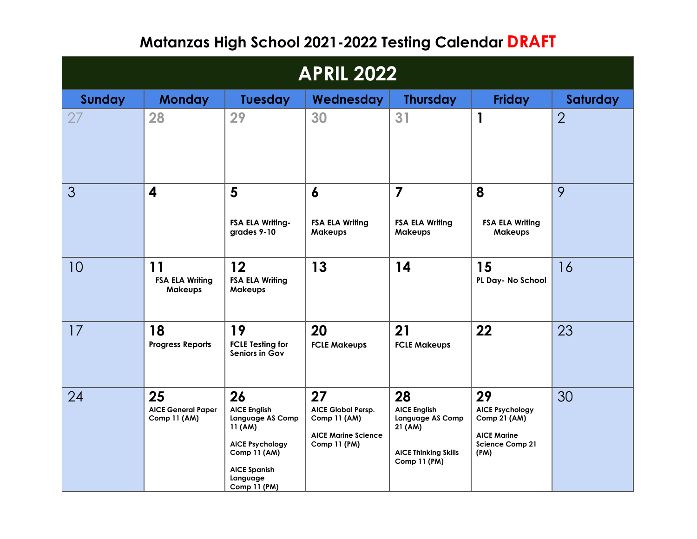## **Matanzas High School 2021-2022 Testing Calendar DRAFT**

| <b>APRIL 2022</b> |                                                 |                                                                                                                                                              |                                                                                        |                                                                                                                |                                                                                                             |                |  |
|-------------------|-------------------------------------------------|--------------------------------------------------------------------------------------------------------------------------------------------------------------|----------------------------------------------------------------------------------------|----------------------------------------------------------------------------------------------------------------|-------------------------------------------------------------------------------------------------------------|----------------|--|
| Sunday            | <b>Monday</b>                                   | Tuesday                                                                                                                                                      | Wednesday                                                                              | <b>Thursday</b>                                                                                                | <b>Friday</b>                                                                                               | Saturday       |  |
| 27                | 28                                              | 29                                                                                                                                                           | 30                                                                                     | 31                                                                                                             | $\mathbf{1}$                                                                                                | $\overline{2}$ |  |
| 3                 | $\overline{\mathbf{4}}$                         | 5<br><b>FSA ELA Writing-</b><br>grades 9-10                                                                                                                  | 6<br><b>FSA ELA Writing</b><br>Makeups                                                 | $\overline{7}$<br><b>FSA ELA Writing</b><br><b>Makeups</b>                                                     | 8<br><b>FSA ELA Writing</b><br><b>Makeups</b>                                                               | 9              |  |
| 10                | 11<br><b>FSA ELA Writing</b><br>Makeups         | 12<br><b>FSA ELA Writing</b><br><b>Makeups</b>                                                                                                               | 13                                                                                     | 14                                                                                                             | 15<br>PL Day- No School                                                                                     | 16             |  |
| 17                | 18<br><b>Progress Reports</b>                   | 19<br><b>FCLE Testing for</b><br>Seniors in Gov                                                                                                              | 20<br><b>FCLE Makeups</b>                                                              | 21<br><b>FCLE Makeups</b>                                                                                      | 22                                                                                                          | 23             |  |
| 24                | 25<br><b>AICE General Paper</b><br>Comp 11 (AM) | 26<br><b>AICE English</b><br><b>Language AS Comp</b><br>11 (AM)<br><b>AICE Psychology</b><br>Comp 11 (AM)<br><b>AICE Spanish</b><br>Language<br>Comp 11 (PM) | 27<br>AICE Global Persp.<br>Comp 11 (AM)<br><b>AICE Marine Science</b><br>Comp 11 (PM) | 28<br><b>AICE English</b><br>Language AS Comp<br>21 (AM)<br><b>AICE Thinking Skills</b><br><b>Comp 11 (PM)</b> | 29<br><b>AICE Psychology</b><br><b>Comp 21 (AM)</b><br><b>AICE Marine</b><br><b>Science Comp 21</b><br>(PM) | 30             |  |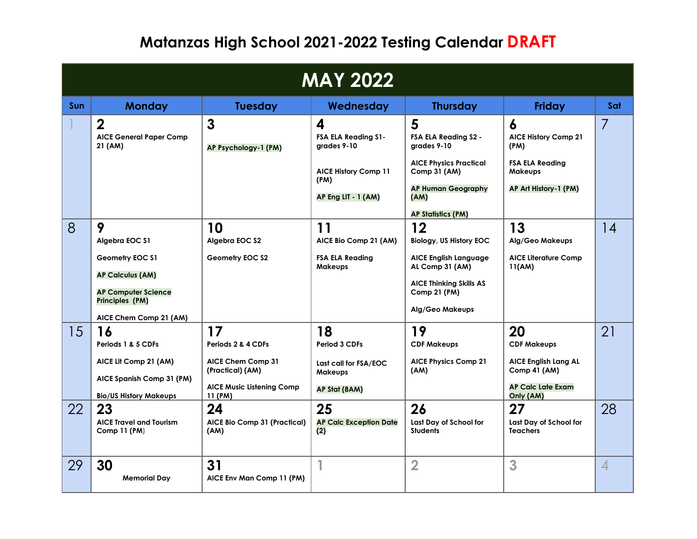## **Matanzas High School 2021-2022 Testing Calendar DRAFT**

| <b>MAY 2022</b> |                                                                                                                                                |                                                                                                                               |                                                                                                              |                                                                                                                                                                            |                                                                                                                        |                |  |
|-----------------|------------------------------------------------------------------------------------------------------------------------------------------------|-------------------------------------------------------------------------------------------------------------------------------|--------------------------------------------------------------------------------------------------------------|----------------------------------------------------------------------------------------------------------------------------------------------------------------------------|------------------------------------------------------------------------------------------------------------------------|----------------|--|
| Sun             | <b>Monday</b>                                                                                                                                  | <b>Tuesday</b>                                                                                                                | Wednesday                                                                                                    | <b>Thursday</b>                                                                                                                                                            | <b>Friday</b>                                                                                                          | Sat            |  |
|                 | $\overline{2}$<br><b>AICE General Paper Comp</b><br>21 (AM)                                                                                    | $\mathbf{3}$<br>AP Psychology-1 (PM)                                                                                          | 4<br><b>FSA ELA Reading S1-</b><br>grades 9-10<br><b>AICE History Comp 11</b><br>(PM)<br>AP Eng LIT - 1 (AM) | 5<br><b>FSA ELA Reading S2 -</b><br>grades 9-10<br><b>AICE Physics Practical</b><br>Comp 31 (AM)<br><b>AP Human Geography</b><br>(AM)<br><b>AP Statistics (PM)</b>         | 6<br><b>AICE History Comp 21</b><br>(PM)<br><b>FSA ELA Reading</b><br>Makeups<br>AP Art History-1 (PM)                 | 7              |  |
| 8               | 9<br>Algebra EOC \$1<br>Geometry EOC \$1<br><b>AP Calculus (AM)</b><br><b>AP Computer Science</b><br>Principles (PM)<br>AICE Chem Comp 21 (AM) | 10<br>Algebra EOC \$2<br>Geometry EOC S2                                                                                      | 11<br>AICE Bio Comp 21 (AM)<br><b>FSA ELA Reading</b><br><b>Makeups</b>                                      | 12<br><b>Biology, US History EOC</b><br><b>AICE English Language</b><br>AL Comp 31 (AM)<br><b>AICE Thinking Skills AS</b><br><b>Comp 21 (PM)</b><br><b>Alg/Geo Makeups</b> | 13<br>Alg/Geo Makeups<br><b>AICE Literature Comp</b><br>11(AM)                                                         | 14             |  |
| 15<br>22        | 16<br>Periods 1 & 5 CDFs<br>AICE Lit Comp 21 (AM)<br>AICE Spanish Comp 31 (PM)<br><b>Bio/US History Makeups</b><br>23                          | 17<br>Periods 2 & 4 CDFs<br><b>AICE Chem Comp 31</b><br>(Practical) (AM)<br><b>AICE Music Listening Comp</b><br>11 (PM)<br>24 | 18<br>Period 3 CDFs<br>Last call for FSA/EOC<br><b>Makeups</b><br>AP Stat (8AM)<br>25                        | 19<br><b>CDF Makeups</b><br><b>AICE Physics Comp 21</b><br>(AM)<br>26                                                                                                      | 20<br><b>CDF Makeups</b><br><b>AICE English Lang AL</b><br>Comp 41 (AM)<br><b>AP Calc Late Exam</b><br>Only (AM)<br>27 | 21<br>28       |  |
| 29              | <b>AICE Travel and Tourism</b><br>Comp 11 (PM)<br>30<br><b>Memorial Day</b>                                                                    | AICE Bio Comp 31 (Practical)<br>(AM)<br>31<br>AICE Env Man Comp 11 (PM)                                                       | <b>AP Calc Exception Date</b><br>(2)                                                                         | Last Day of School for<br><b>Students</b><br>$\overline{2}$                                                                                                                | Last Day of School for<br><b>Teachers</b><br>3                                                                         | $\overline{4}$ |  |